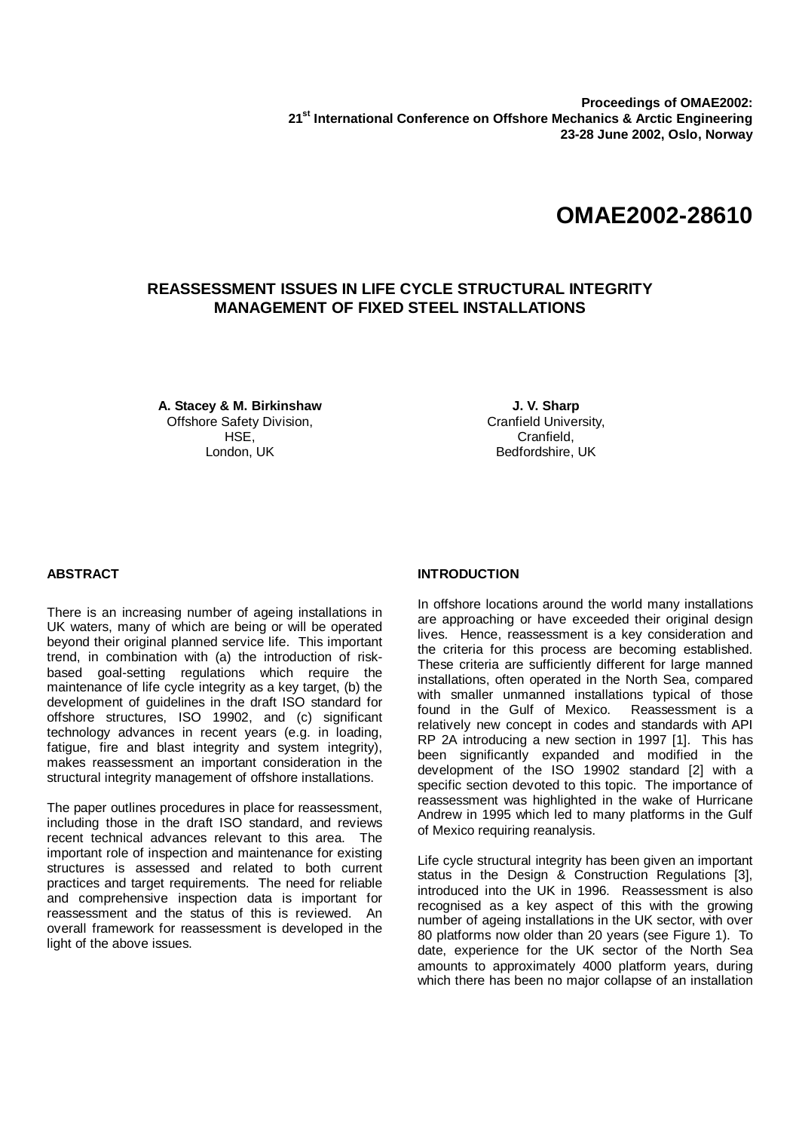**Proceedings of OMAE2002: 21st International Conference on Offshore Mechanics & Arctic Engineering 23-28 June 2002, Oslo, Norway**

# **OMAE2002-28610**

# **REASSESSMENT ISSUES IN LIFE CYCLE STRUCTURAL INTEGRITY MANAGEMENT OF FIXED STEEL INSTALLATIONS**

**A. Stacey & M. Birkinshaw**  Offshore Safety Division, HSE, London, UK

**J. V. Sharp**  Cranfield University, Cranfield, Bedfordshire, UK

# **ABSTRACT**

There is an increasing number of ageing installations in UK waters, many of which are being or will be operated beyond their original planned service life. This important trend, in combination with (a) the introduction of riskbased goal-setting regulations which require the maintenance of life cycle integrity as a key target, (b) the development of guidelines in the draft ISO standard for offshore structures, ISO 19902, and (c) significant technology advances in recent years (e.g. in loading, fatigue, fire and blast integrity and system integrity), makes reassessment an important consideration in the structural integrity management of offshore installations.

The paper outlines procedures in place for reassessment, including those in the draft ISO standard, and reviews recent technical advances relevant to this area. The important role of inspection and maintenance for existing structures is assessed and related to both current practices and target requirements. The need for reliable and comprehensive inspection data is important for reassessment and the status of this is reviewed. An overall framework for reassessment is developed in the light of the above issues.

# **INTRODUCTION**

In offshore locations around the world many installations are approaching or have exceeded their original design lives. Hence, reassessment is a key consideration and the criteria for this process are becoming established. These criteria are sufficiently different for large manned installations, often operated in the North Sea, compared with smaller unmanned installations typical of those found in the Gulf of Mexico. Reassessment is a relatively new concept in codes and standards with API RP 2A introducing a new section in 1997 [1]. This has been significantly expanded and modified in the development of the ISO 19902 standard [2] with a specific section devoted to this topic. The importance of reassessment was highlighted in the wake of Hurricane Andrew in 1995 which led to many platforms in the Gulf of Mexico requiring reanalysis.

Life cycle structural integrity has been given an important status in the Design & Construction Regulations [3], introduced into the UK in 1996. Reassessment is also recognised as a key aspect of this with the growing number of ageing installations in the UK sector, with over 80 platforms now older than 20 years (see Figure 1). To date, experience for the UK sector of the North Sea amounts to approximately 4000 platform years, during which there has been no major collapse of an installation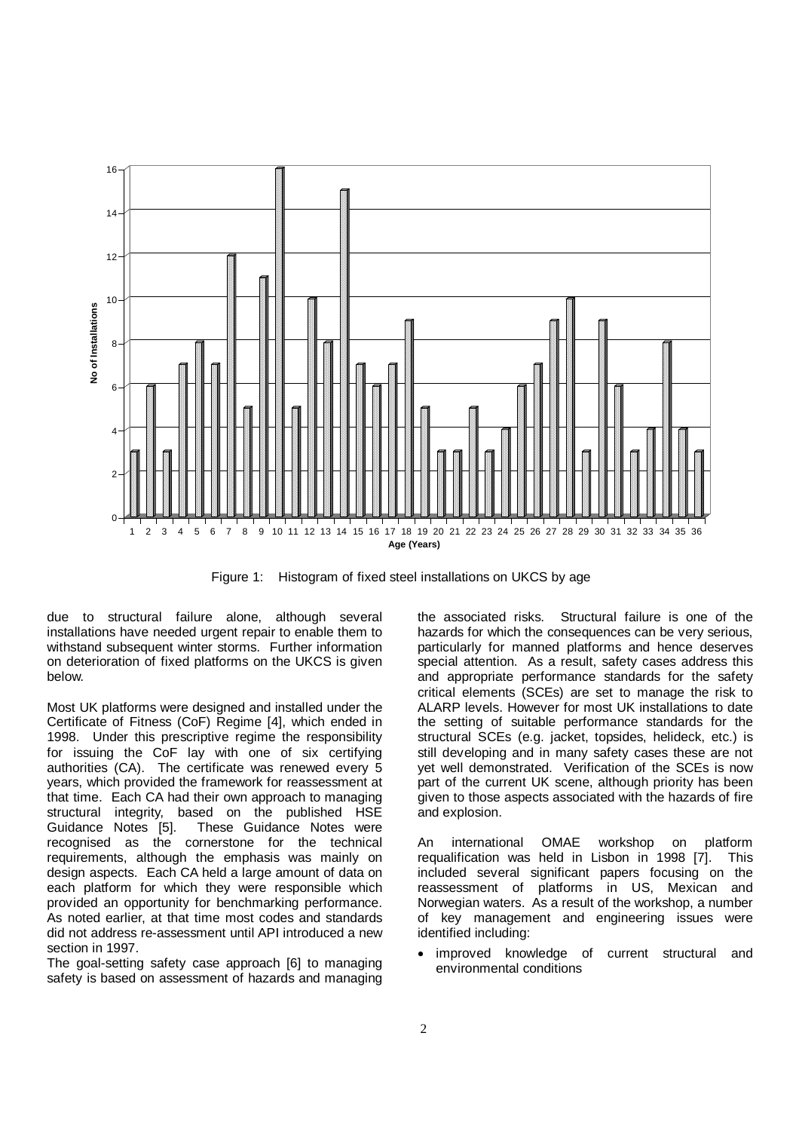

Figure 1: Histogram of fixed steel installations on UKCS by age

due to structural failure alone, although several installations have needed urgent repair to enable them to withstand subsequent winter storms. Further information on deterioration of fixed platforms on the UKCS is given below.

Most UK platforms were designed and installed under the Certificate of Fitness (CoF) Regime [4], which ended in 1998. Under this prescriptive regime the responsibility for issuing the CoF lay with one of six certifying authorities (CA). The certificate was renewed every 5 years, which provided the framework for reassessment at that time. Each CA had their own approach to managing structural integrity, based on the published HSE Guidance Notes [5]. These Guidance Notes were recognised as the cornerstone for the technical requirements, although the emphasis was mainly on design aspects. Each CA held a large amount of data on each platform for which they were responsible which provided an opportunity for benchmarking performance. As noted earlier, at that time most codes and standards did not address re-assessment until API introduced a new section in 1997.

The goal-setting safety case approach [6] to managing safety is based on assessment of hazards and managing

the associated risks. Structural failure is one of the hazards for which the consequences can be very serious, particularly for manned platforms and hence deserves special attention. As a result, safety cases address this and appropriate performance standards for the safety critical elements (SCEs) are set to manage the risk to ALARP levels. However for most UK installations to date the setting of suitable performance standards for the structural SCEs (e.g. jacket, topsides, helideck, etc.) is still developing and in many safety cases these are not yet well demonstrated. Verification of the SCEs is now part of the current UK scene, although priority has been given to those aspects associated with the hazards of fire and explosion.

An international OMAE workshop on platform requalification was held in Lisbon in 1998 [7]. This included several significant papers focusing on the reassessment of platforms in US, Mexican and Norwegian waters. As a result of the workshop, a number of key management and engineering issues were identified including:

 improved knowledge of current structural and environmental conditions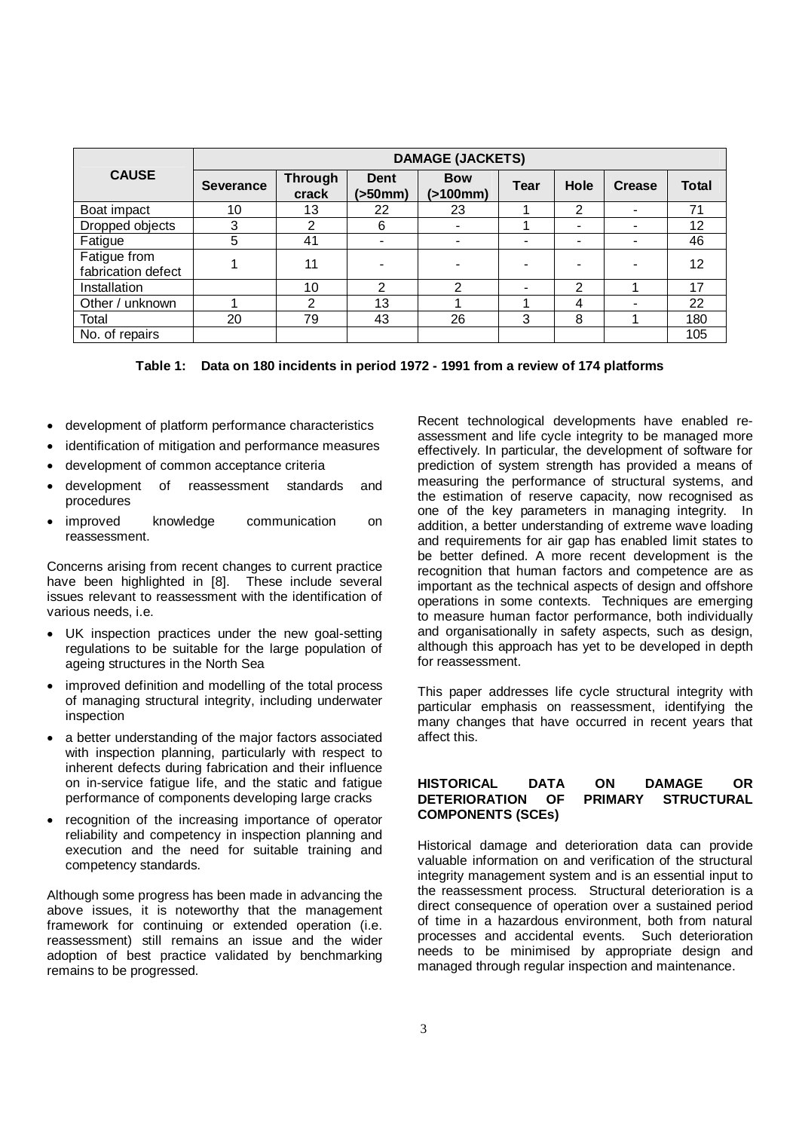|                                    | <b>DAMAGE (JACKETS)</b> |                         |                 |                        |             |      |               |              |
|------------------------------------|-------------------------|-------------------------|-----------------|------------------------|-------------|------|---------------|--------------|
| <b>CAUSE</b>                       | <b>Severance</b>        | <b>Through</b><br>crack | Dent<br>(>50mm) | <b>Bow</b><br>(>100mm) | <b>Tear</b> | Hole | <b>Crease</b> | <b>Total</b> |
| Boat impact                        | 10                      | 13                      | 22              | 23                     |             | 2    |               | 71           |
| Dropped objects                    | 3                       | 2                       | 6               |                        |             |      | -             | 12           |
| Fatigue                            | 5                       | 41                      |                 |                        |             |      | -             | 46           |
| Fatigue from<br>fabrication defect |                         | 11                      |                 |                        |             |      |               | 12           |
| Installation                       |                         | 10                      | っ               | 2                      |             | 2    |               | 17           |
| Other / unknown                    |                         | 2                       | 13              |                        |             | 4    |               | 22           |
| Total                              | 20                      | 79                      | 43              | 26                     | 3           | 8    |               | 180          |
| No. of repairs                     |                         |                         |                 |                        |             |      |               | 105          |

**Table 1: Data on 180 incidents in period 1972 - 1991 from a review of 174 platforms**

- development of platform performance characteristics
- identification of mitigation and performance measures
- development of common acceptance criteria
- development of reassessment standards and procedures
- improved knowledge communication on reassessment.

Concerns arising from recent changes to current practice have been highlighted in [8]. These include several issues relevant to reassessment with the identification of various needs, i.e.

- UK inspection practices under the new goal-setting regulations to be suitable for the large population of ageing structures in the North Sea
- improved definition and modelling of the total process of managing structural integrity, including underwater inspection
- a better understanding of the major factors associated with inspection planning, particularly with respect to inherent defects during fabrication and their influence on in-service fatigue life, and the static and fatigue performance of components developing large cracks
- recognition of the increasing importance of operator reliability and competency in inspection planning and execution and the need for suitable training and competency standards.

Although some progress has been made in advancing the above issues, it is noteworthy that the management framework for continuing or extended operation (i.e. reassessment) still remains an issue and the wider adoption of best practice validated by benchmarking remains to be progressed.

Recent technological developments have enabled reassessment and life cycle integrity to be managed more effectively. In particular, the development of software for prediction of system strength has provided a means of measuring the performance of structural systems, and the estimation of reserve capacity, now recognised as one of the key parameters in managing integrity. In addition, a better understanding of extreme wave loading and requirements for air gap has enabled limit states to be better defined. A more recent development is the recognition that human factors and competence are as important as the technical aspects of design and offshore operations in some contexts. Techniques are emerging to measure human factor performance, both individually and organisationally in safety aspects, such as design, although this approach has yet to be developed in depth for reassessment.

This paper addresses life cycle structural integrity with particular emphasis on reassessment, identifying the many changes that have occurred in recent years that affect this.

# **HISTORICAL DATA ON DAMAGE OR DETERIORATION OF PRIMARY STRUCTURAL COMPONENTS (SCEs)**

Historical damage and deterioration data can provide valuable information on and verification of the structural integrity management system and is an essential input to the reassessment process. Structural deterioration is a direct consequence of operation over a sustained period of time in a hazardous environment, both from natural processes and accidental events. Such deterioration needs to be minimised by appropriate design and managed through regular inspection and maintenance.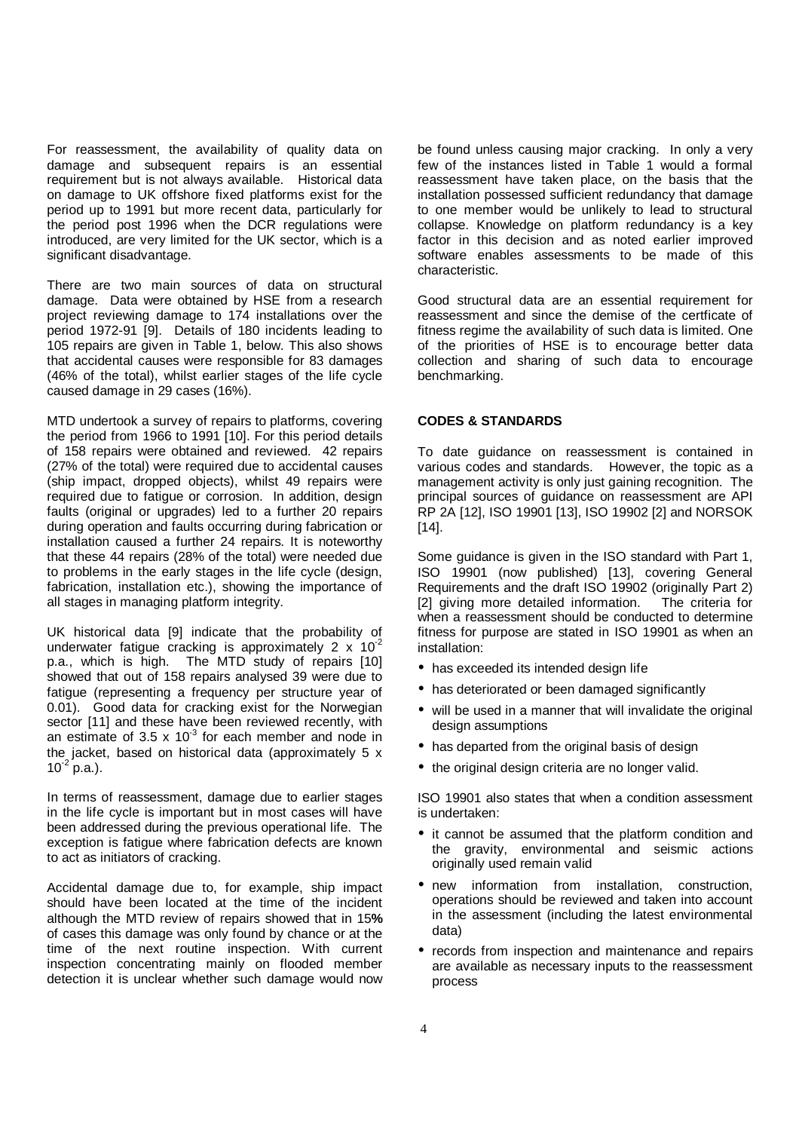For reassessment, the availability of quality data on damage and subsequent repairs is an essential requirement but is not always available. Historical data on damage to UK offshore fixed platforms exist for the period up to 1991 but more recent data, particularly for the period post 1996 when the DCR regulations were introduced, are very limited for the UK sector, which is a significant disadvantage.

There are two main sources of data on structural damage. Data were obtained by HSE from a research project reviewing damage to 174 installations over the period 1972-91 [9]. Details of 180 incidents leading to 105 repairs are given in Table 1, below. This also shows that accidental causes were responsible for 83 damages (46% of the total), whilst earlier stages of the life cycle caused damage in 29 cases (16%).

MTD undertook a survey of repairs to platforms, covering the period from 1966 to 1991 [10]. For this period details of 158 repairs were obtained and reviewed. 42 repairs (27% of the total) were required due to accidental causes (ship impact, dropped objects), whilst 49 repairs were required due to fatigue or corrosion. In addition, design faults (original or upgrades) led to a further 20 repairs during operation and faults occurring during fabrication or installation caused a further 24 repairs. It is noteworthy that these 44 repairs (28% of the total) were needed due to problems in the early stages in the life cycle (design, fabrication, installation etc.), showing the importance of all stages in managing platform integrity.

UK historical data [9] indicate that the probability of underwater fatigue cracking is approximately  $2 \times 10^{-2}$ p.a., which is high. The MTD study of repairs [10] showed that out of 158 repairs analysed 39 were due to fatigue (representing a frequency per structure year of 0.01). Good data for cracking exist for the Norwegian sector [11] and these have been reviewed recently, with an estimate of  $3.5 \times 10^{-3}$  for each member and node in the jacket, based on historical data (approximately 5 x  $10^{-2}$  p.a.).

In terms of reassessment, damage due to earlier stages in the life cycle is important but in most cases will have been addressed during the previous operational life. The exception is fatigue where fabrication defects are known to act as initiators of cracking.

Accidental damage due to, for example, ship impact should have been located at the time of the incident although the MTD review of repairs showed that in 15**%** of cases this damage was only found by chance or at the time of the next routine inspection. With current inspection concentrating mainly on flooded member detection it is unclear whether such damage would now

be found unless causing major cracking. In only a very few of the instances listed in Table 1 would a formal reassessment have taken place, on the basis that the installation possessed sufficient redundancy that damage to one member would be unlikely to lead to structural collapse. Knowledge on platform redundancy is a key factor in this decision and as noted earlier improved software enables assessments to be made of this characteristic.

Good structural data are an essential requirement for reassessment and since the demise of the certficate of fitness regime the availability of such data is limited. One of the priorities of HSE is to encourage better data collection and sharing of such data to encourage benchmarking.

# **CODES & STANDARDS**

To date guidance on reassessment is contained in various codes and standards. However, the topic as a management activity is only just gaining recognition. The principal sources of guidance on reassessment are API RP 2A [12], ISO 19901 [13], ISO 19902 [2] and NORSOK [14].

Some guidance is given in the ISO standard with Part 1, ISO 19901 (now published) [13], covering General Requirements and the draft ISO 19902 (originally Part 2) [2] giving more detailed information. The criteria for when a reassessment should be conducted to determine fitness for purpose are stated in ISO 19901 as when an installation:

- has exceeded its intended design life
- has deteriorated or been damaged significantly
- will be used in a manner that will invalidate the original design assumptions
- has departed from the original basis of design
- the original design criteria are no longer valid.

ISO 19901 also states that when a condition assessment is undertaken:

- it cannot be assumed that the platform condition and the gravity, environmental and seismic actions originally used remain valid
- new information from installation, construction, operations should be reviewed and taken into account in the assessment (including the latest environmental data)
- records from inspection and maintenance and repairs are available as necessary inputs to the reassessment process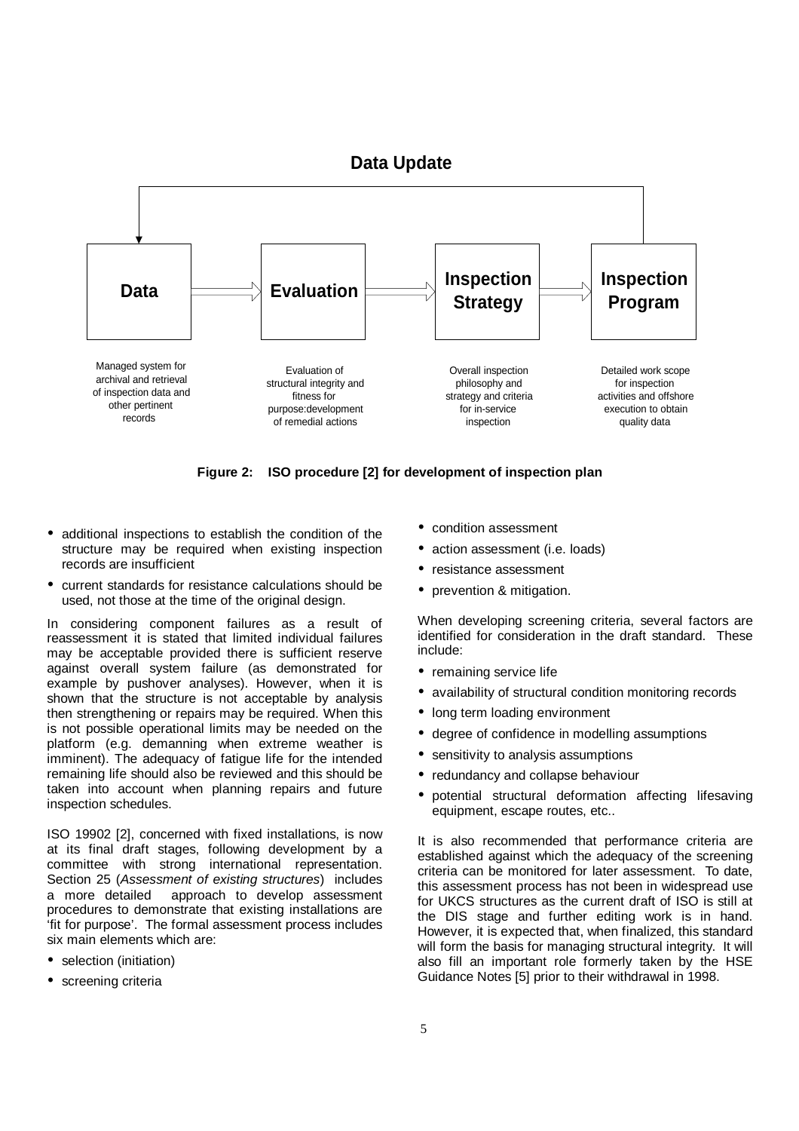

**Figure 2: ISO procedure [2] for development of inspection plan**

- additional inspections to establish the condition of the structure may be required when existing inspection records are insufficient
- current standards for resistance calculations should be used, not those at the time of the original design.

In considering component failures as a result of reassessment it is stated that limited individual failures may be acceptable provided there is sufficient reserve against overall system failure (as demonstrated for example by pushover analyses). However, when it is shown that the structure is not acceptable by analysis then strengthening or repairs may be required. When this is not possible operational limits may be needed on the platform (e.g. demanning when extreme weather is imminent). The adequacy of fatigue life for the intended remaining life should also be reviewed and this should be taken into account when planning repairs and future inspection schedules.

ISO 19902 [2], concerned with fixed installations, is now at its final draft stages, following development by a committee with strong international representation. Section 25 (*Assessment of existing structures*) includes a more detailed approach to develop assessment procedures to demonstrate that existing installations are 'fit for purpose'. The formal assessment process includes six main elements which are:

- selection (initiation)
- screening criteria
- condition assessment
- action assessment (i.e. loads)
- resistance assessment
- prevention & mitigation.

When developing screening criteria, several factors are identified for consideration in the draft standard. These include:

- remaining service life
- availability of structural condition monitoring records
- long term loading environment
- degree of confidence in modelling assumptions
- sensitivity to analysis assumptions
- redundancy and collapse behaviour
- potential structural deformation affecting lifesaving equipment, escape routes, etc..

It is also recommended that performance criteria are established against which the adequacy of the screening criteria can be monitored for later assessment. To date, this assessment process has not been in widespread use for UKCS structures as the current draft of ISO is still at the DIS stage and further editing work is in hand. However, it is expected that, when finalized, this standard will form the basis for managing structural integrity. It will also fill an important role formerly taken by the HSE Guidance Notes [5] prior to their withdrawal in 1998.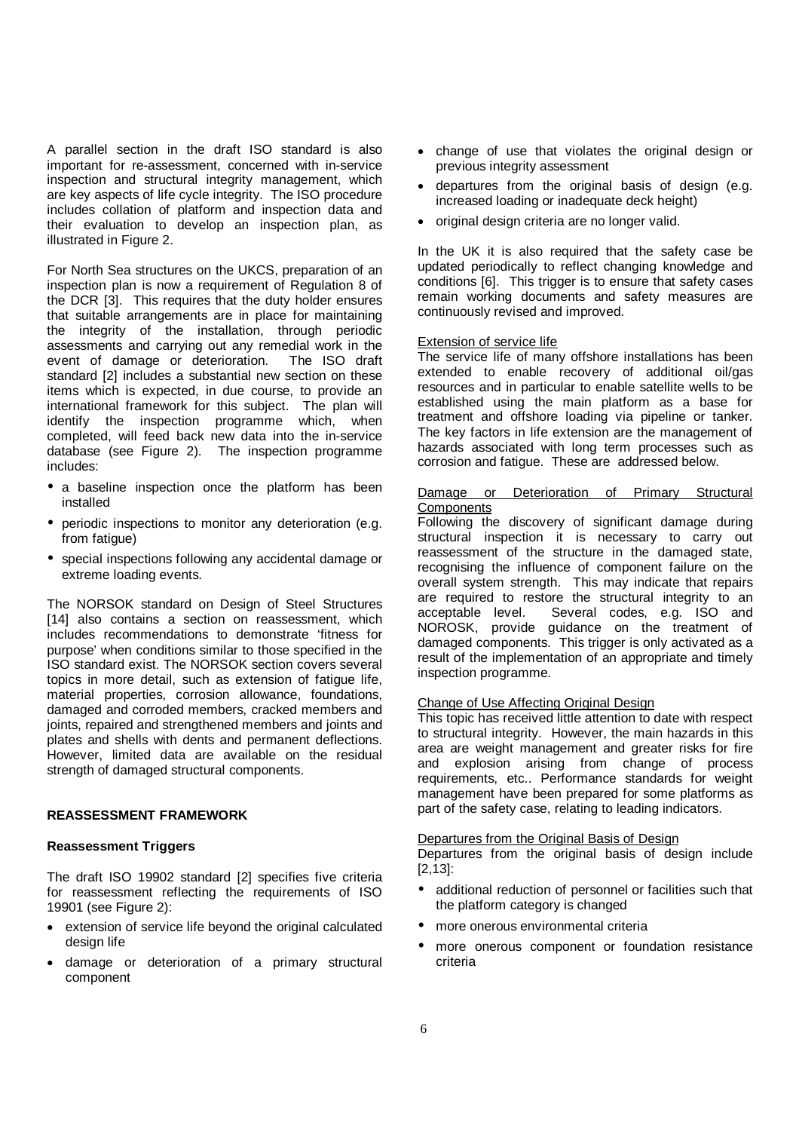A parallel section in the draft ISO standard is also important for re-assessment, concerned with in-service inspection and structural integrity management, which are key aspects of life cycle integrity. The ISO procedure includes collation of platform and inspection data and their evaluation to develop an inspection plan, as illustrated in Figure 2.

For North Sea structures on the UKCS, preparation of an inspection plan is now a requirement of Regulation 8 of the DCR [3]. This requires that the duty holder ensures that suitable arrangements are in place for maintaining the integrity of the installation, through periodic assessments and carrying out any remedial work in the event of damage or deterioration. The ISO draft standard [2] includes a substantial new section on these items which is expected, in due course, to provide an international framework for this subject. The plan will identify the inspection programme which, when completed, will feed back new data into the in-service database (see Figure 2). The inspection programme includes:

- a baseline inspection once the platform has been installed
- periodic inspections to monitor any deterioration (e.g. from fatigue)
- special inspections following any accidental damage or extreme loading events.

The NORSOK standard on Design of Steel Structures [14] also contains a section on reassessment, which includes recommendations to demonstrate 'fitness for purpose' when conditions similar to those specified in the ISO standard exist. The NORSOK section covers several topics in more detail, such as extension of fatigue life, material properties, corrosion allowance, foundations, damaged and corroded members, cracked members and joints, repaired and strengthened members and joints and plates and shells with dents and permanent deflections. However, limited data are available on the residual strength of damaged structural components.

# **REASSESSMENT FRAMEWORK**

### **Reassessment Triggers**

The draft ISO 19902 standard [2] specifies five criteria for reassessment reflecting the requirements of ISO 19901 (see Figure 2):

- extension of service life beyond the original calculated design life
- damage or deterioration of a primary structural component
- change of use that violates the original design or previous integrity assessment
- departures from the original basis of design (e.g. increased loading or inadequate deck height)
- original design criteria are no longer valid.

In the UK it is also required that the safety case be updated periodically to reflect changing knowledge and conditions [6]. This trigger is to ensure that safety cases remain working documents and safety measures are continuously revised and improved.

### Extension of service life

The service life of many offshore installations has been extended to enable recovery of additional oil/gas resources and in particular to enable satellite wells to be established using the main platform as a base for treatment and offshore loading via pipeline or tanker. The key factors in life extension are the management of hazards associated with long term processes such as corrosion and fatigue. These are addressed below.

### Damage or Deterioration of Primary Structural **Components**

Following the discovery of significant damage during structural inspection it is necessary to carry out reassessment of the structure in the damaged state, recognising the influence of component failure on the overall system strength. This may indicate that repairs are required to restore the structural integrity to an acceptable level. Several codes, e.g. ISO and NOROSK, provide guidance on the treatment of damaged components. This trigger is only activated as a result of the implementation of an appropriate and timely inspection programme.

### Change of Use Affecting Original Design

This topic has received little attention to date with respect to structural integrity. However, the main hazards in this area are weight management and greater risks for fire and explosion arising from change of process requirements, etc.. Performance standards for weight management have been prepared for some platforms as part of the safety case, relating to leading indicators.

#### Departures from the Original Basis of Design

Departures from the original basis of design include [2,13]:

- additional reduction of personnel or facilities such that the platform category is changed
- more onerous environmental criteria
- more onerous component or foundation resistance criteria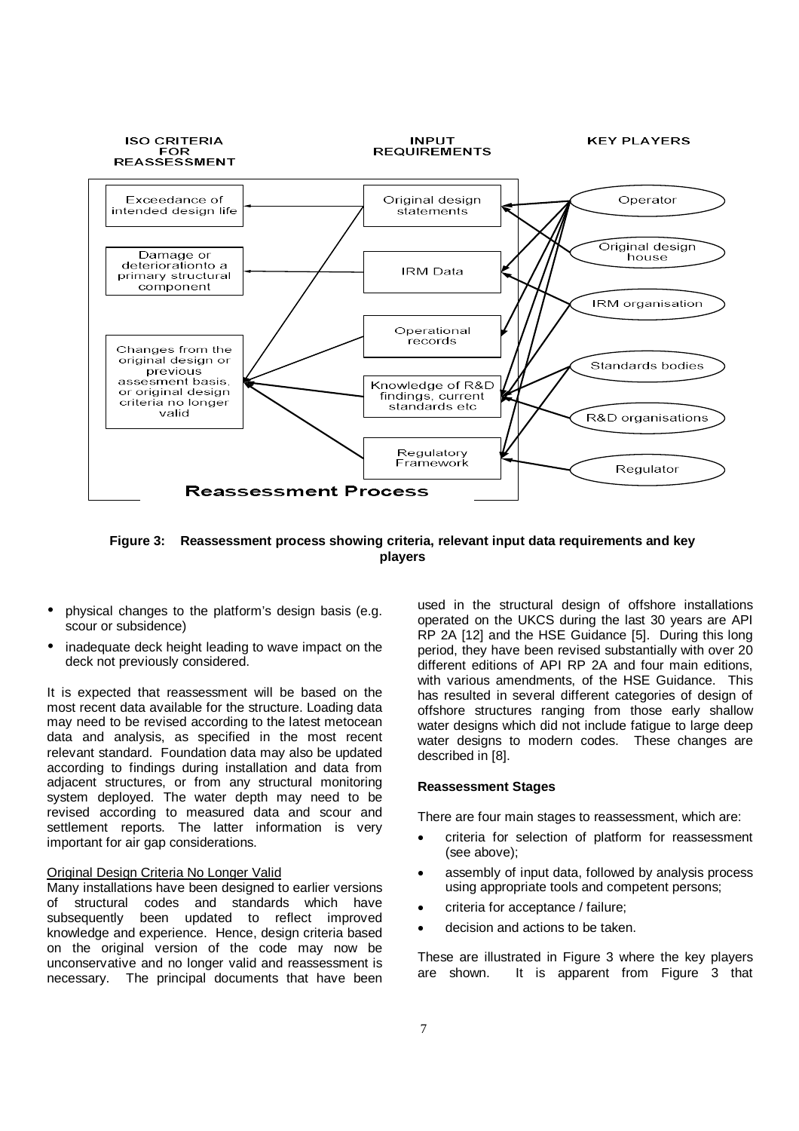

**Figure 3: Reassessment process showing criteria, relevant input data requirements and key players**

- physical changes to the platform's design basis (e.g. scour or subsidence)
- inadequate deck height leading to wave impact on the deck not previously considered.

It is expected that reassessment will be based on the most recent data available for the structure. Loading data may need to be revised according to the latest metocean data and analysis, as specified in the most recent relevant standard. Foundation data may also be updated according to findings during installation and data from adjacent structures, or from any structural monitoring system deployed. The water depth may need to be revised according to measured data and scour and settlement reports. The latter information is very important for air gap considerations.

# Original Design Criteria No Longer Valid

Many installations have been designed to earlier versions of structural codes and standards which have subsequently been updated to reflect improved knowledge and experience. Hence, design criteria based on the original version of the code may now be unconservative and no longer valid and reassessment is necessary. The principal documents that have been used in the structural design of offshore installations operated on the UKCS during the last 30 years are API RP 2A [12] and the HSE Guidance [5]. During this long period, they have been revised substantially with over 20 different editions of API RP 2A and four main editions, with various amendments, of the HSE Guidance. This has resulted in several different categories of design of offshore structures ranging from those early shallow water designs which did not include fatigue to large deep water designs to modern codes. These changes are described in [8].

#### **Reassessment Stages**

There are four main stages to reassessment, which are:

- criteria for selection of platform for reassessment (see above);
- assembly of input data, followed by analysis process using appropriate tools and competent persons;
- criteria for acceptance / failure;
- decision and actions to be taken.

These are illustrated in Figure 3 where the key players are shown. It is apparent from Figure 3 that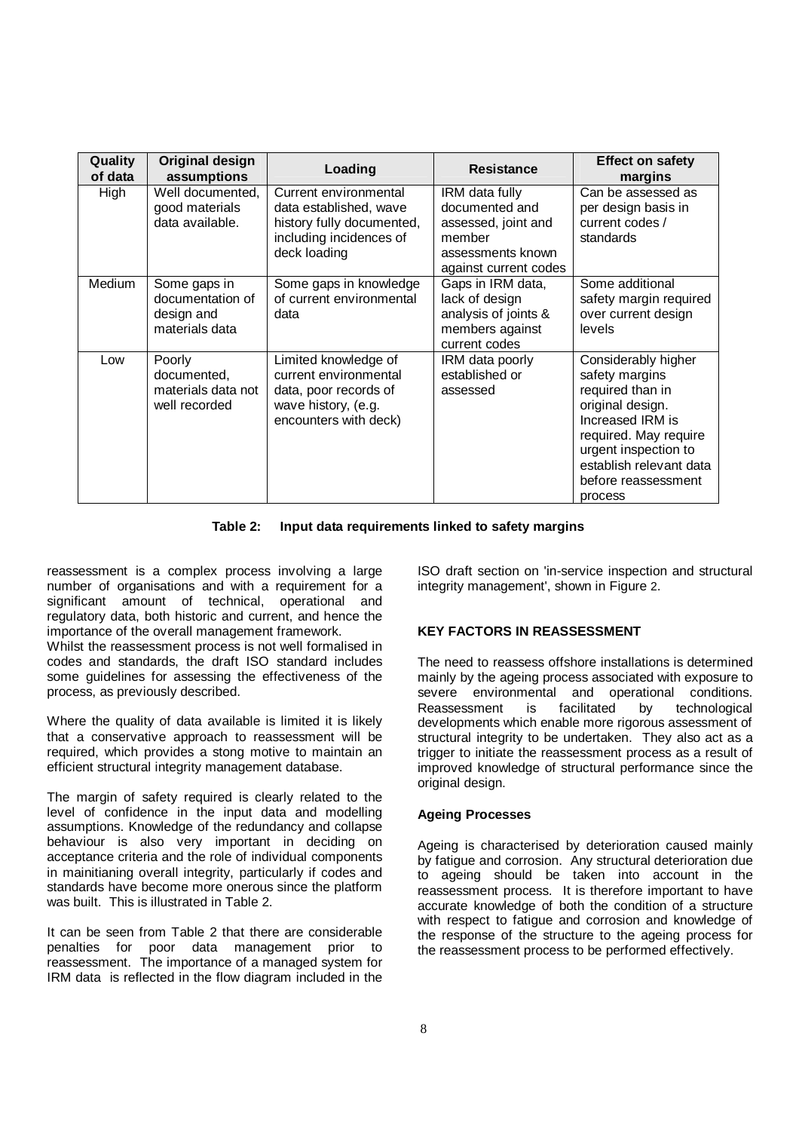| Quality<br>of data | Original design<br>assumptions                                   | Loading                                                                                                                 | <b>Resistance</b>                                                                                               | <b>Effect on safety</b><br>margins                                                                                                                                                                              |
|--------------------|------------------------------------------------------------------|-------------------------------------------------------------------------------------------------------------------------|-----------------------------------------------------------------------------------------------------------------|-----------------------------------------------------------------------------------------------------------------------------------------------------------------------------------------------------------------|
| High               | Well documented,<br>good materials<br>data available.            | Current environmental<br>data established, wave<br>history fully documented,<br>including incidences of<br>deck loading | IRM data fully<br>documented and<br>assessed, joint and<br>member<br>assessments known<br>against current codes | Can be assessed as<br>per design basis in<br>current codes /<br>standards                                                                                                                                       |
| <b>Medium</b>      | Some gaps in<br>documentation of<br>design and<br>materials data | Some gaps in knowledge<br>of current environmental<br>data                                                              | Gaps in IRM data,<br>lack of design<br>analysis of joints &<br>members against<br>current codes                 | Some additional<br>safety margin required<br>over current design<br>levels                                                                                                                                      |
| Low                | Poorly<br>documented,<br>materials data not<br>well recorded     | Limited knowledge of<br>current environmental<br>data, poor records of<br>wave history, (e.g.<br>encounters with deck)  | IRM data poorly<br>established or<br>assessed                                                                   | Considerably higher<br>safety margins<br>required than in<br>original design.<br>Increased IRM is<br>required. May require<br>urgent inspection to<br>establish relevant data<br>before reassessment<br>process |

**Table 2: Input data requirements linked to safety margins**

reassessment is a complex process involving a large number of organisations and with a requirement for a significant amount of technical, operational and regulatory data, both historic and current, and hence the importance of the overall management framework.

Whilst the reassessment process is not well formalised in codes and standards, the draft ISO standard includes some guidelines for assessing the effectiveness of the process, as previously described.

Where the quality of data available is limited it is likely that a conservative approach to reassessment will be required, which provides a stong motive to maintain an efficient structural integrity management database.

The margin of safety required is clearly related to the level of confidence in the input data and modelling assumptions. Knowledge of the redundancy and collapse behaviour is also very important in deciding on acceptance criteria and the role of individual components in mainitianing overall integrity, particularly if codes and standards have become more onerous since the platform was built. This is illustrated in Table 2.

It can be seen from Table 2 that there are considerable penalties for poor data management prior to reassessment. The importance of a managed system for IRM data is reflected in the flow diagram included in the ISO draft section on 'in-service inspection and structural integrity management', shown in Figure 2.

# **KEY FACTORS IN REASSESSMENT**

The need to reassess offshore installations is determined mainly by the ageing process associated with exposure to severe environmental and operational conditions. Reassessment is facilitated by technological developments which enable more rigorous assessment of structural integrity to be undertaken. They also act as a trigger to initiate the reassessment process as a result of improved knowledge of structural performance since the original design.

# **Ageing Processes**

Ageing is characterised by deterioration caused mainly by fatigue and corrosion. Any structural deterioration due to ageing should be taken into account in the reassessment process. It is therefore important to have accurate knowledge of both the condition of a structure with respect to fatigue and corrosion and knowledge of the response of the structure to the ageing process for the reassessment process to be performed effectively.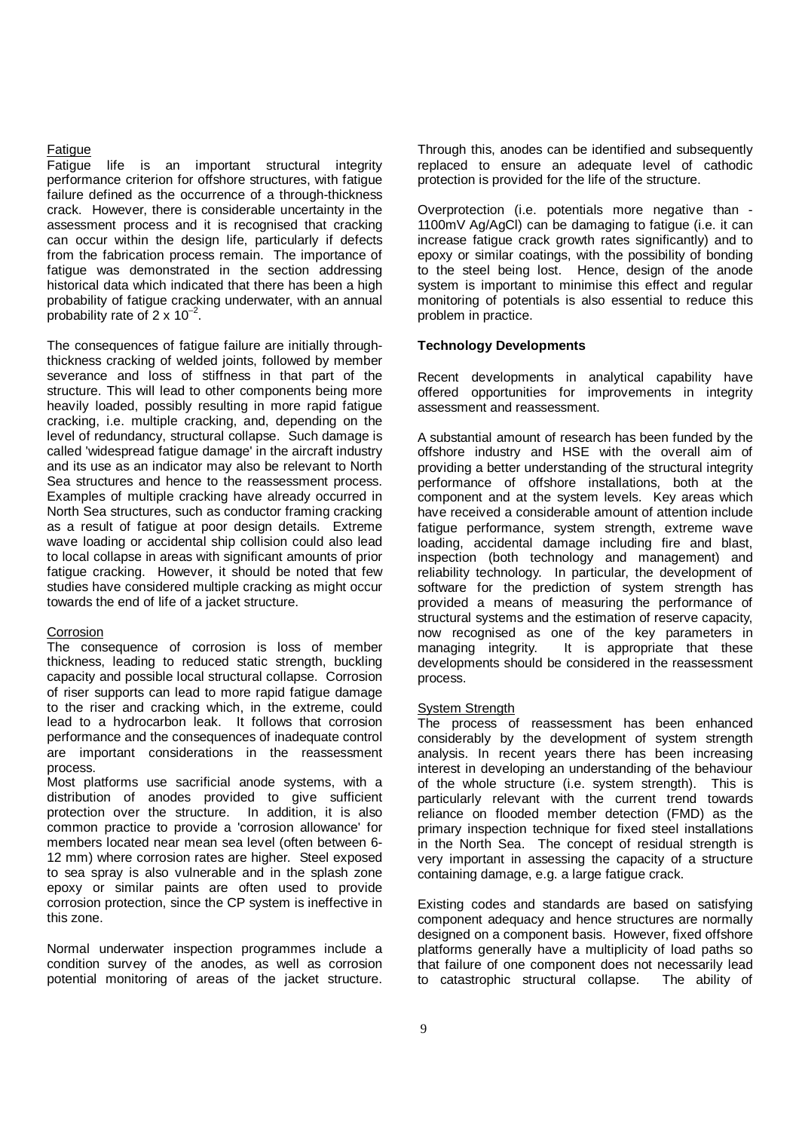### **Fatigue**

Fatigue life is an important structural integrity performance criterion for offshore structures, with fatigue failure defined as the occurrence of a through-thickness crack. However, there is considerable uncertainty in the assessment process and it is recognised that cracking can occur within the design life, particularly if defects from the fabrication process remain. The importance of fatigue was demonstrated in the section addressing historical data which indicated that there has been a high probability of fatigue cracking underwater, with an annual probability rate of 2 x  $10^{-2}$ .

The consequences of fatigue failure are initially throughthickness cracking of welded joints, followed by member severance and loss of stiffness in that part of the structure. This will lead to other components being more heavily loaded, possibly resulting in more rapid fatigue cracking, i.e. multiple cracking, and, depending on the level of redundancy, structural collapse. Such damage is called 'widespread fatigue damage' in the aircraft industry and its use as an indicator may also be relevant to North Sea structures and hence to the reassessment process. Examples of multiple cracking have already occurred in North Sea structures, such as conductor framing cracking as a result of fatigue at poor design details. Extreme wave loading or accidental ship collision could also lead to local collapse in areas with significant amounts of prior fatigue cracking. However, it should be noted that few studies have considered multiple cracking as might occur towards the end of life of a jacket structure.

### Corrosion

The consequence of corrosion is loss of member thickness, leading to reduced static strength, buckling capacity and possible local structural collapse. Corrosion of riser supports can lead to more rapid fatigue damage to the riser and cracking which, in the extreme, could lead to a hydrocarbon leak. It follows that corrosion performance and the consequences of inadequate control are important considerations in the reassessment process.

Most platforms use sacrificial anode systems, with a distribution of anodes provided to give sufficient protection over the structure. In addition, it is also common practice to provide a 'corrosion allowance' for members located near mean sea level (often between 6- 12 mm) where corrosion rates are higher. Steel exposed to sea spray is also vulnerable and in the splash zone epoxy or similar paints are often used to provide corrosion protection, since the CP system is ineffective in this zone.

Normal underwater inspection programmes include a condition survey of the anodes, as well as corrosion potential monitoring of areas of the jacket structure.

Through this, anodes can be identified and subsequently replaced to ensure an adequate level of cathodic protection is provided for the life of the structure.

Overprotection (i.e. potentials more negative than - 1100mV Ag/AgCl) can be damaging to fatigue (i.e. it can increase fatigue crack growth rates significantly) and to epoxy or similar coatings, with the possibility of bonding to the steel being lost. Hence, design of the anode system is important to minimise this effect and regular monitoring of potentials is also essential to reduce this problem in practice.

# **Technology Developments**

Recent developments in analytical capability have offered opportunities for improvements in integrity assessment and reassessment.

A substantial amount of research has been funded by the offshore industry and HSE with the overall aim of providing a better understanding of the structural integrity performance of offshore installations, both at the component and at the system levels. Key areas which have received a considerable amount of attention include fatigue performance, system strength, extreme wave loading, accidental damage including fire and blast, inspection (both technology and management) and reliability technology. In particular, the development of software for the prediction of system strength has provided a means of measuring the performance of structural systems and the estimation of reserve capacity, now recognised as one of the key parameters in managing integrity. It is appropriate that these developments should be considered in the reassessment process.

# System Strength

The process of reassessment has been enhanced considerably by the development of system strength analysis. In recent years there has been increasing interest in developing an understanding of the behaviour of the whole structure (i.e. system strength). This is particularly relevant with the current trend towards reliance on flooded member detection (FMD) as the primary inspection technique for fixed steel installations in the North Sea. The concept of residual strength is very important in assessing the capacity of a structure containing damage, e.g. a large fatigue crack.

Existing codes and standards are based on satisfying component adequacy and hence structures are normally designed on a component basis. However, fixed offshore platforms generally have a multiplicity of load paths so that failure of one component does not necessarily lead to catastrophic structural collapse. The ability of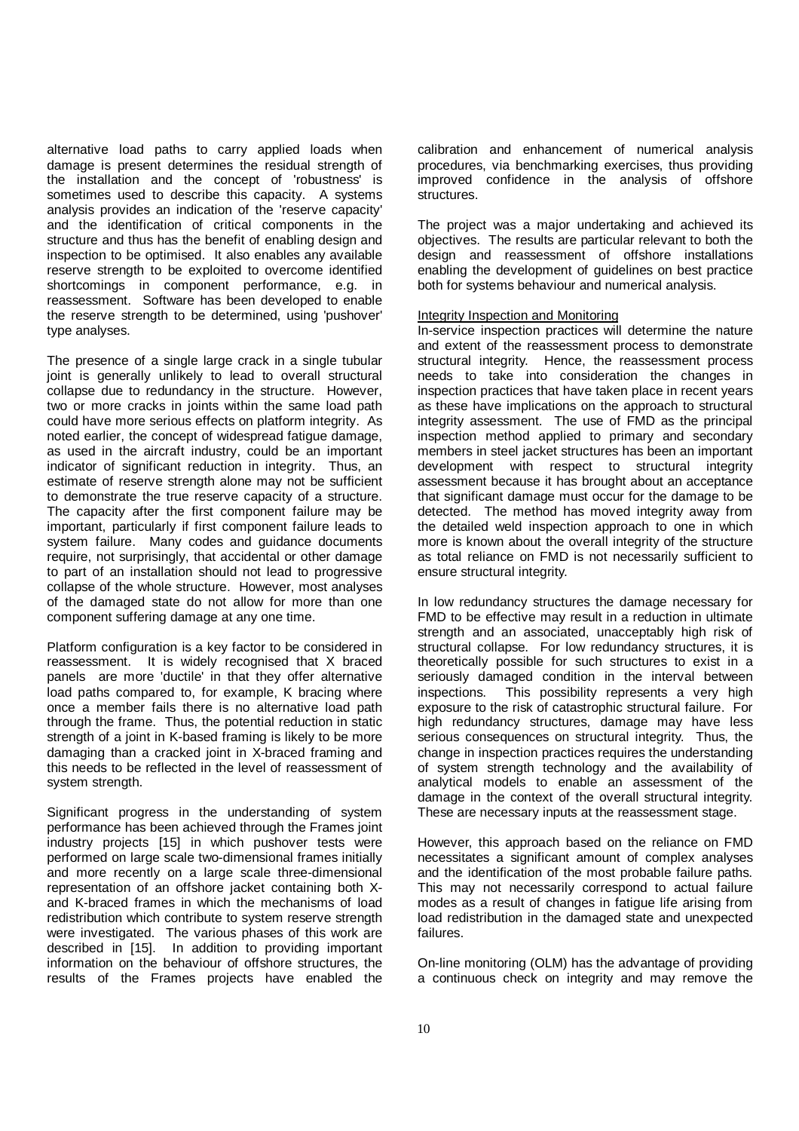alternative load paths to carry applied loads when damage is present determines the residual strength of the installation and the concept of 'robustness' is sometimes used to describe this capacity. A systems analysis provides an indication of the 'reserve capacity' and the identification of critical components in the structure and thus has the benefit of enabling design and inspection to be optimised. It also enables any available reserve strength to be exploited to overcome identified shortcomings in component performance, e.g. in reassessment. Software has been developed to enable the reserve strength to be determined, using 'pushover' type analyses.

The presence of a single large crack in a single tubular joint is generally unlikely to lead to overall structural collapse due to redundancy in the structure. However, two or more cracks in joints within the same load path could have more serious effects on platform integrity. As noted earlier, the concept of widespread fatigue damage, as used in the aircraft industry, could be an important indicator of significant reduction in integrity. Thus, an estimate of reserve strength alone may not be sufficient to demonstrate the true reserve capacity of a structure. The capacity after the first component failure may be important, particularly if first component failure leads to system failure. Many codes and guidance documents require, not surprisingly, that accidental or other damage to part of an installation should not lead to progressive collapse of the whole structure. However, most analyses of the damaged state do not allow for more than one component suffering damage at any one time.

Platform configuration is a key factor to be considered in reassessment. It is widely recognised that X braced panels are more 'ductile' in that they offer alternative load paths compared to, for example, K bracing where once a member fails there is no alternative load path through the frame. Thus, the potential reduction in static strength of a joint in K-based framing is likely to be more damaging than a cracked joint in X-braced framing and this needs to be reflected in the level of reassessment of system strength.

Significant progress in the understanding of system performance has been achieved through the Frames joint industry projects [15] in which pushover tests were performed on large scale two-dimensional frames initially and more recently on a large scale three-dimensional representation of an offshore jacket containing both Xand K-braced frames in which the mechanisms of load redistribution which contribute to system reserve strength were investigated. The various phases of this work are described in [15]. In addition to providing important information on the behaviour of offshore structures, the results of the Frames projects have enabled the calibration and enhancement of numerical analysis procedures, via benchmarking exercises, thus providing improved confidence in the analysis of offshore structures.

The project was a major undertaking and achieved its objectives. The results are particular relevant to both the design and reassessment of offshore installations enabling the development of guidelines on best practice both for systems behaviour and numerical analysis.

### Integrity Inspection and Monitoring

In-service inspection practices will determine the nature and extent of the reassessment process to demonstrate structural integrity. Hence, the reassessment process needs to take into consideration the changes in inspection practices that have taken place in recent years as these have implications on the approach to structural integrity assessment. The use of FMD as the principal inspection method applied to primary and secondary members in steel jacket structures has been an important development with respect to structural integrity assessment because it has brought about an acceptance that significant damage must occur for the damage to be detected. The method has moved integrity away from the detailed weld inspection approach to one in which more is known about the overall integrity of the structure as total reliance on FMD is not necessarily sufficient to ensure structural integrity.

In low redundancy structures the damage necessary for FMD to be effective may result in a reduction in ultimate strength and an associated, unacceptably high risk of structural collapse. For low redundancy structures, it is theoretically possible for such structures to exist in a seriously damaged condition in the interval between inspections. This possibility represents a very high exposure to the risk of catastrophic structural failure. For high redundancy structures, damage may have less serious consequences on structural integrity. Thus, the change in inspection practices requires the understanding of system strength technology and the availability of analytical models to enable an assessment of the damage in the context of the overall structural integrity. These are necessary inputs at the reassessment stage.

However, this approach based on the reliance on FMD necessitates a significant amount of complex analyses and the identification of the most probable failure paths. This may not necessarily correspond to actual failure modes as a result of changes in fatigue life arising from load redistribution in the damaged state and unexpected failures.

On-line monitoring (OLM) has the advantage of providing a continuous check on integrity and may remove the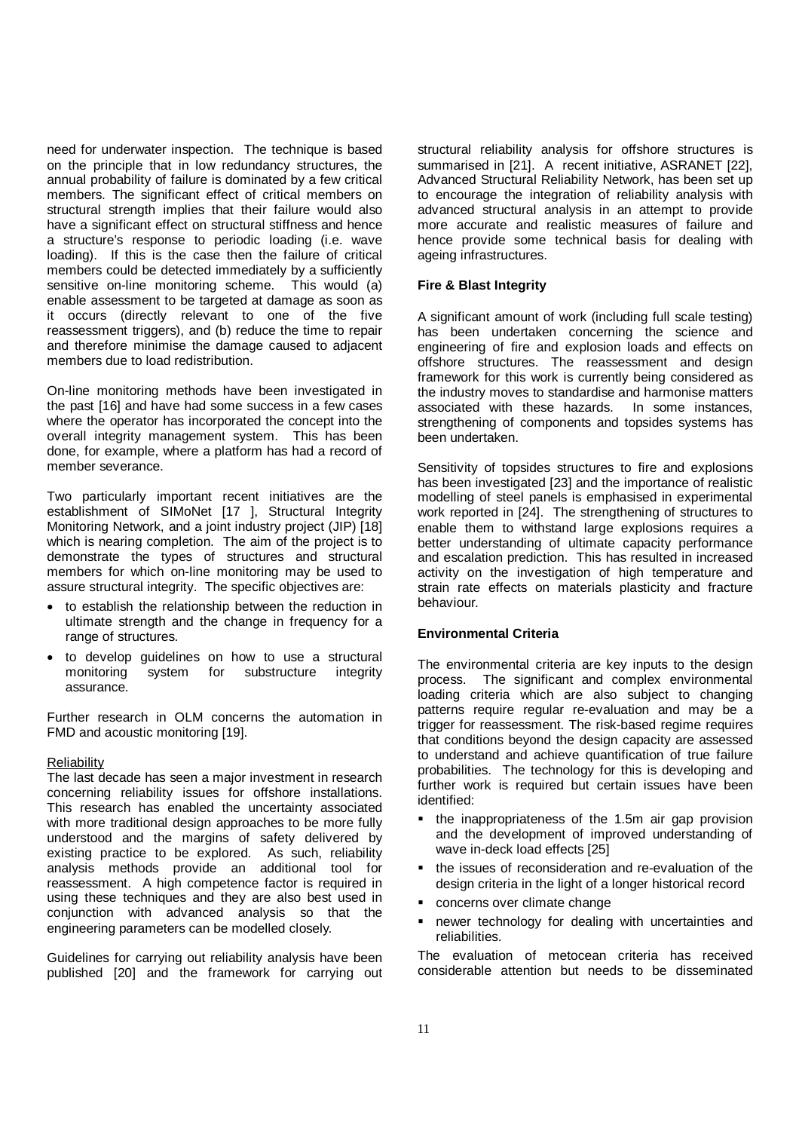need for underwater inspection. The technique is based on the principle that in low redundancy structures, the annual probability of failure is dominated by a few critical members. The significant effect of critical members on structural strength implies that their failure would also have a significant effect on structural stiffness and hence a structure's response to periodic loading (i.e. wave loading). If this is the case then the failure of critical members could be detected immediately by a sufficiently sensitive on-line monitoring scheme. This would (a) enable assessment to be targeted at damage as soon as it occurs (directly relevant to one of the five reassessment triggers), and (b) reduce the time to repair and therefore minimise the damage caused to adjacent members due to load redistribution.

On-line monitoring methods have been investigated in the past [16] and have had some success in a few cases where the operator has incorporated the concept into the overall integrity management system. This has been done, for example, where a platform has had a record of member severance.

Two particularly important recent initiatives are the establishment of SIMoNet [17 ], Structural Integrity Monitoring Network, and a joint industry project (JIP) [18] which is nearing completion. The aim of the project is to demonstrate the types of structures and structural members for which on-line monitoring may be used to assure structural integrity. The specific objectives are:

- to establish the relationship between the reduction in ultimate strength and the change in frequency for a range of structures.
- to develop guidelines on how to use a structural monitoring system for substructure integrity substructure integrity assurance.

Further research in OLM concerns the automation in FMD and acoustic monitoring [19].

# Reliability

The last decade has seen a major investment in research concerning reliability issues for offshore installations. This research has enabled the uncertainty associated with more traditional design approaches to be more fully understood and the margins of safety delivered by existing practice to be explored. As such, reliability analysis methods provide an additional tool for reassessment. A high competence factor is required in using these techniques and they are also best used in conjunction with advanced analysis so that the engineering parameters can be modelled closely.

Guidelines for carrying out reliability analysis have been published [20] and the framework for carrying out structural reliability analysis for offshore structures is summarised in [21]. A recent initiative, ASRANET [22], Advanced Structural Reliability Network, has been set up to encourage the integration of reliability analysis with advanced structural analysis in an attempt to provide more accurate and realistic measures of failure and hence provide some technical basis for dealing with ageing infrastructures.

### **Fire & Blast Integrity**

A significant amount of work (including full scale testing) has been undertaken concerning the science and engineering of fire and explosion loads and effects on offshore structures. The reassessment and design framework for this work is currently being considered as the industry moves to standardise and harmonise matters associated with these hazards. In some instances, strengthening of components and topsides systems has been undertaken.

Sensitivity of topsides structures to fire and explosions has been investigated [23] and the importance of realistic modelling of steel panels is emphasised in experimental work reported in [24]. The strengthening of structures to enable them to withstand large explosions requires a better understanding of ultimate capacity performance and escalation prediction. This has resulted in increased activity on the investigation of high temperature and strain rate effects on materials plasticity and fracture behaviour.

# **Environmental Criteria**

The environmental criteria are key inputs to the design process. The significant and complex environmental loading criteria which are also subject to changing patterns require regular re-evaluation and may be a trigger for reassessment. The risk-based regime requires that conditions beyond the design capacity are assessed to understand and achieve quantification of true failure probabilities. The technology for this is developing and further work is required but certain issues have been identified:

- the inappropriateness of the 1.5m air gap provision and the development of improved understanding of wave in-deck load effects [25]
- the issues of reconsideration and re-evaluation of the design criteria in the light of a longer historical record
- concerns over climate change
- newer technology for dealing with uncertainties and reliabilities.

The evaluation of metocean criteria has received considerable attention but needs to be disseminated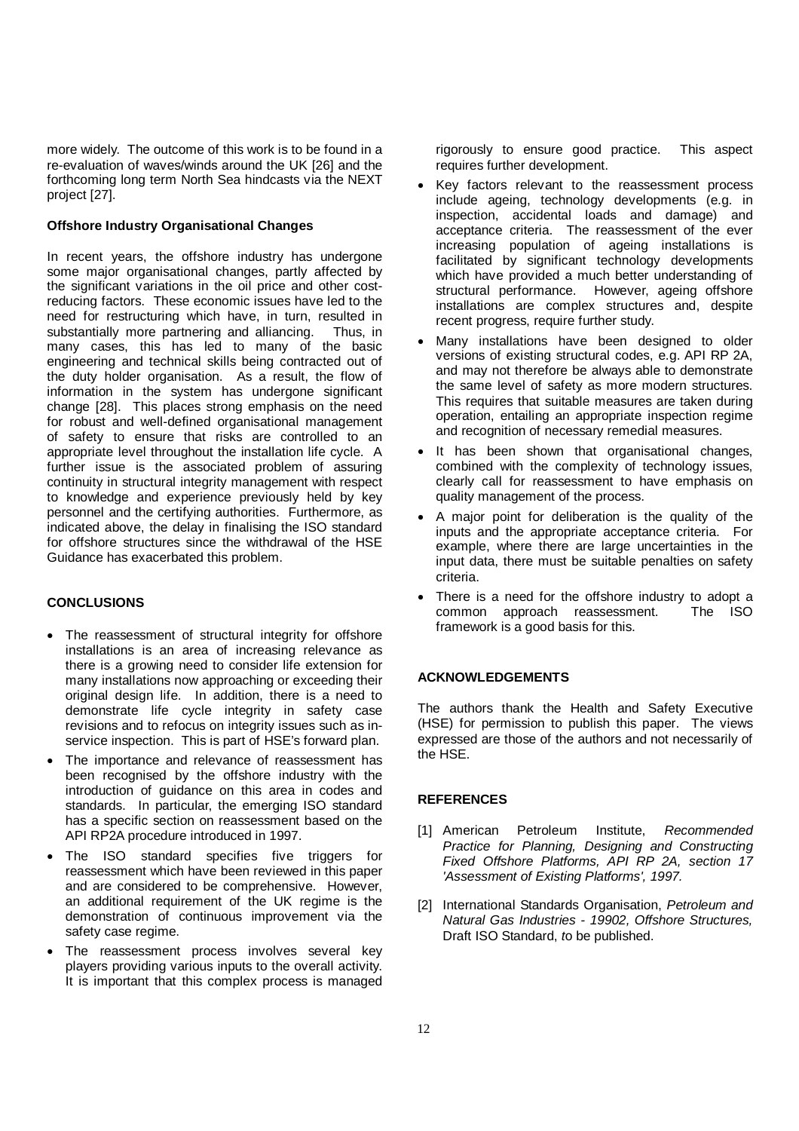more widely. The outcome of this work is to be found in a re-evaluation of waves/winds around the UK [26] and the forthcoming long term North Sea hindcasts via the NEXT project [27].

### **Offshore Industry Organisational Changes**

In recent years, the offshore industry has undergone some major organisational changes, partly affected by the significant variations in the oil price and other costreducing factors. These economic issues have led to the need for restructuring which have, in turn, resulted in substantially more partnering and alliancing. Thus, in many cases, this has led to many of the basic engineering and technical skills being contracted out of the duty holder organisation. As a result, the flow of information in the system has undergone significant change [28]. This places strong emphasis on the need for robust and well-defined organisational management of safety to ensure that risks are controlled to an appropriate level throughout the installation life cycle. A further issue is the associated problem of assuring continuity in structural integrity management with respect to knowledge and experience previously held by key personnel and the certifying authorities. Furthermore, as indicated above, the delay in finalising the ISO standard for offshore structures since the withdrawal of the HSE Guidance has exacerbated this problem.

# **CONCLUSIONS**

- The reassessment of structural integrity for offshore installations is an area of increasing relevance as there is a growing need to consider life extension for many installations now approaching or exceeding their original design life. In addition, there is a need to demonstrate life cycle integrity in safety case revisions and to refocus on integrity issues such as inservice inspection. This is part of HSE's forward plan.
- The importance and relevance of reassessment has been recognised by the offshore industry with the introduction of guidance on this area in codes and standards. In particular, the emerging ISO standard has a specific section on reassessment based on the API RP2A procedure introduced in 1997.
- The ISO standard specifies five triggers for reassessment which have been reviewed in this paper and are considered to be comprehensive. However, an additional requirement of the UK regime is the demonstration of continuous improvement via the safety case regime.
- The reassessment process involves several key players providing various inputs to the overall activity. It is important that this complex process is managed

rigorously to ensure good practice. This aspect requires further development.

- Key factors relevant to the reassessment process include ageing, technology developments (e.g. in inspection, accidental loads and damage) and acceptance criteria. The reassessment of the ever increasing population of ageing installations is facilitated by significant technology developments which have provided a much better understanding of structural performance. However, ageing offshore installations are complex structures and, despite recent progress, require further study.
- Many installations have been designed to older versions of existing structural codes, e.g. API RP 2A, and may not therefore be always able to demonstrate the same level of safety as more modern structures. This requires that suitable measures are taken during operation, entailing an appropriate inspection regime and recognition of necessary remedial measures.
- It has been shown that organisational changes, combined with the complexity of technology issues, clearly call for reassessment to have emphasis on quality management of the process.
- A major point for deliberation is the quality of the inputs and the appropriate acceptance criteria. For example, where there are large uncertainties in the input data, there must be suitable penalties on safety criteria.
- There is a need for the offshore industry to adopt a common approach reassessment. The ISO common approach reassessment. framework is a good basis for this.

### **ACKNOWLEDGEMENTS**

The authors thank the Health and Safety Executive (HSE) for permission to publish this paper. The views expressed are those of the authors and not necessarily of the HSE.

# **REFERENCES**

- [1] American Petroleum Institute, *Recommended Practice for Planning, Designing and Constructing Fixed Offshore Platforms, API RP 2A, section 17 'Assessment of Existing Platforms', 1997.*
- [2] International Standards Organisation, *Petroleum and Natural Gas Industries - 19902, Offshore Structures,*  Draft ISO Standard, *t*o be published.